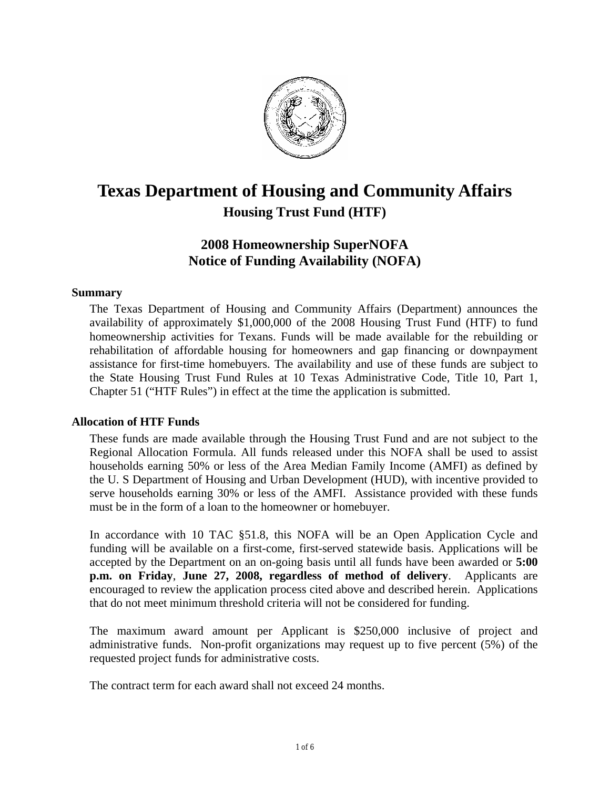

# **Texas Department of Housing and Community Affairs Housing Trust Fund (HTF)**

# **2008 Homeownership SuperNOFA Notice of Funding Availability (NOFA)**

# **Summary**

The Texas Department of Housing and Community Affairs (Department) announces the availability of approximately \$1,000,000 of the 2008 Housing Trust Fund (HTF) to fund homeownership activities for Texans. Funds will be made available for the rebuilding or rehabilitation of affordable housing for homeowners and gap financing or downpayment assistance for first-time homebuyers. The availability and use of these funds are subject to the State Housing Trust Fund Rules at 10 Texas Administrative Code, Title 10, Part 1, Chapter 51 ("HTF Rules") in effect at the time the application is submitted.

# **Allocation of HTF Funds**

These funds are made available through the Housing Trust Fund and are not subject to the Regional Allocation Formula. All funds released under this NOFA shall be used to assist households earning 50% or less of the Area Median Family Income (AMFI) as defined by the U. S Department of Housing and Urban Development (HUD), with incentive provided to serve households earning 30% or less of the AMFI. Assistance provided with these funds must be in the form of a loan to the homeowner or homebuyer.

In accordance with 10 TAC §51.8, this NOFA will be an Open Application Cycle and funding will be available on a first-come, first-served statewide basis. Applications will be accepted by the Department on an on-going basis until all funds have been awarded or **5:00 p.m. on Friday**, **June 27, 2008, regardless of method of delivery**. Applicants are encouraged to review the application process cited above and described herein. Applications that do not meet minimum threshold criteria will not be considered for funding.

The maximum award amount per Applicant is \$250,000 inclusive of project and administrative funds. Non-profit organizations may request up to five percent (5%) of the requested project funds for administrative costs.

The contract term for each award shall not exceed 24 months.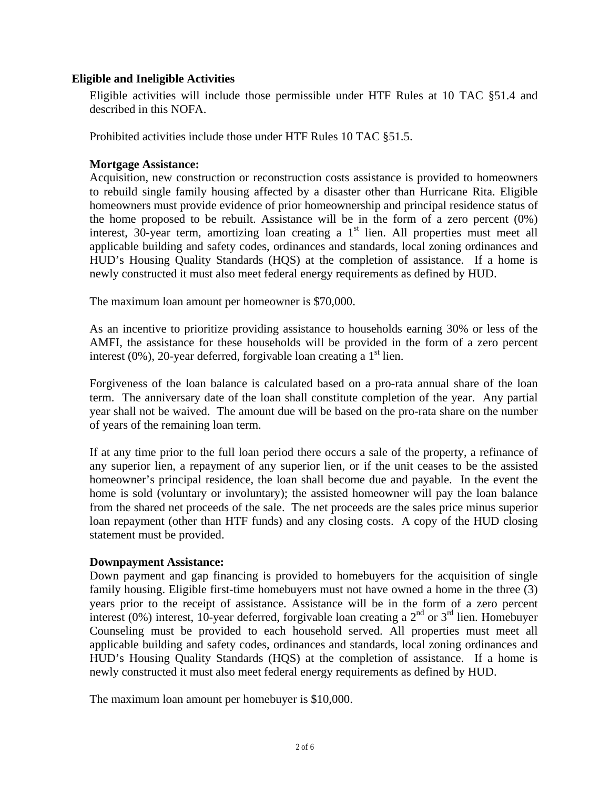# **Eligible and Ineligible Activities**

Eligible activities will include those permissible under HTF Rules at 10 TAC §51.4 and described in this NOFA.

Prohibited activities include those under HTF Rules 10 TAC §51.5.

# **Mortgage Assistance:**

Acquisition, new construction or reconstruction costs assistance is provided to homeowners to rebuild single family housing affected by a disaster other than Hurricane Rita. Eligible homeowners must provide evidence of prior homeownership and principal residence status of the home proposed to be rebuilt. Assistance will be in the form of a zero percent (0%) interest, 30-year term, amortizing loan creating a  $1<sup>st</sup>$  lien. All properties must meet all applicable building and safety codes, ordinances and standards, local zoning ordinances and HUD's Housing Quality Standards (HQS) at the completion of assistance. If a home is newly constructed it must also meet federal energy requirements as defined by HUD.

The maximum loan amount per homeowner is \$70,000.

As an incentive to prioritize providing assistance to households earning 30% or less of the AMFI, the assistance for these households will be provided in the form of a zero percent interest (0%), 20-year deferred, forgivable loan creating a  $1<sup>st</sup>$  lien.

Forgiveness of the loan balance is calculated based on a pro-rata annual share of the loan term. The anniversary date of the loan shall constitute completion of the year. Any partial year shall not be waived. The amount due will be based on the pro-rata share on the number of years of the remaining loan term.

If at any time prior to the full loan period there occurs a sale of the property, a refinance of any superior lien, a repayment of any superior lien, or if the unit ceases to be the assisted homeowner's principal residence, the loan shall become due and payable. In the event the home is sold (voluntary or involuntary); the assisted homeowner will pay the loan balance from the shared net proceeds of the sale. The net proceeds are the sales price minus superior loan repayment (other than HTF funds) and any closing costs. A copy of the HUD closing statement must be provided.

# **Downpayment Assistance:**

Down payment and gap financing is provided to homebuyers for the acquisition of single family housing. Eligible first-time homebuyers must not have owned a home in the three (3) years prior to the receipt of assistance. Assistance will be in the form of a zero percent interest (0%) interest, 10-year deferred, forgivable loan creating a  $2<sup>nd</sup>$  or  $3<sup>rd</sup>$  lien. Homebuyer Counseling must be provided to each household served. All properties must meet all applicable building and safety codes, ordinances and standards, local zoning ordinances and HUD's Housing Quality Standards (HQS) at the completion of assistance. If a home is newly constructed it must also meet federal energy requirements as defined by HUD.

The maximum loan amount per homebuyer is \$10,000.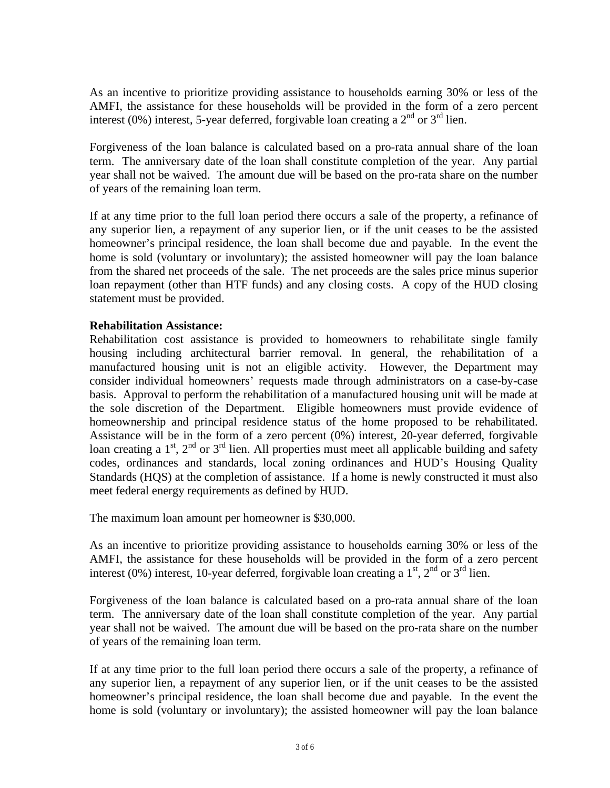As an incentive to prioritize providing assistance to households earning 30% or less of the AMFI, the assistance for these households will be provided in the form of a zero percent interest (0%) interest, 5-year deferred, forgivable loan creating a  $2<sup>nd</sup>$  or  $3<sup>rd</sup>$  lien.

Forgiveness of the loan balance is calculated based on a pro-rata annual share of the loan term. The anniversary date of the loan shall constitute completion of the year. Any partial year shall not be waived. The amount due will be based on the pro-rata share on the number of years of the remaining loan term.

If at any time prior to the full loan period there occurs a sale of the property, a refinance of any superior lien, a repayment of any superior lien, or if the unit ceases to be the assisted homeowner's principal residence, the loan shall become due and payable. In the event the home is sold (voluntary or involuntary); the assisted homeowner will pay the loan balance from the shared net proceeds of the sale. The net proceeds are the sales price minus superior loan repayment (other than HTF funds) and any closing costs. A copy of the HUD closing statement must be provided.

# **Rehabilitation Assistance:**

Rehabilitation cost assistance is provided to homeowners to rehabilitate single family housing including architectural barrier removal. In general, the rehabilitation of a manufactured housing unit is not an eligible activity. However, the Department may consider individual homeowners' requests made through administrators on a case-by-case basis. Approval to perform the rehabilitation of a manufactured housing unit will be made at the sole discretion of the Department. Eligible homeowners must provide evidence of homeownership and principal residence status of the home proposed to be rehabilitated. Assistance will be in the form of a zero percent (0%) interest, 20-year deferred, forgivable loan creating a  $1<sup>st</sup>$ ,  $2<sup>nd</sup>$  or  $3<sup>rd</sup>$  lien. All properties must meet all applicable building and safety codes, ordinances and standards, local zoning ordinances and HUD's Housing Quality Standards (HQS) at the completion of assistance. If a home is newly constructed it must also meet federal energy requirements as defined by HUD.

The maximum loan amount per homeowner is \$30,000.

As an incentive to prioritize providing assistance to households earning 30% or less of the AMFI, the assistance for these households will be provided in the form of a zero percent interest (0%) interest, 10-year deferred, forgivable loan creating a  $1<sup>st</sup>$ ,  $2<sup>nd</sup>$  or  $3<sup>rd</sup>$  lien.

Forgiveness of the loan balance is calculated based on a pro-rata annual share of the loan term. The anniversary date of the loan shall constitute completion of the year. Any partial year shall not be waived. The amount due will be based on the pro-rata share on the number of years of the remaining loan term.

If at any time prior to the full loan period there occurs a sale of the property, a refinance of any superior lien, a repayment of any superior lien, or if the unit ceases to be the assisted homeowner's principal residence, the loan shall become due and payable. In the event the home is sold (voluntary or involuntary); the assisted homeowner will pay the loan balance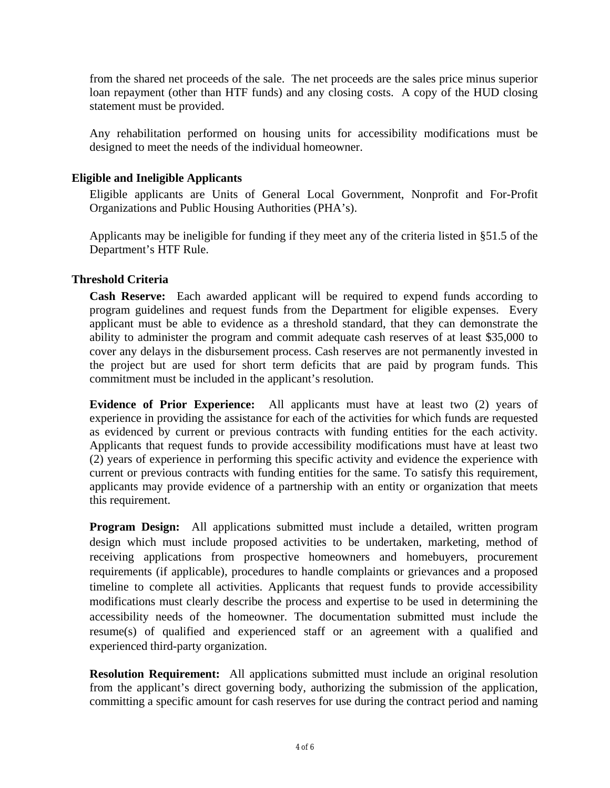from the shared net proceeds of the sale. The net proceeds are the sales price minus superior loan repayment (other than HTF funds) and any closing costs. A copy of the HUD closing statement must be provided.

Any rehabilitation performed on housing units for accessibility modifications must be designed to meet the needs of the individual homeowner.

# **Eligible and Ineligible Applicants**

Eligible applicants are Units of General Local Government, Nonprofit and For-Profit Organizations and Public Housing Authorities (PHA's).

Applicants may be ineligible for funding if they meet any of the criteria listed in §51.5 of the Department's HTF Rule.

# **Threshold Criteria**

**Cash Reserve:** Each awarded applicant will be required to expend funds according to program guidelines and request funds from the Department for eligible expenses. Every applicant must be able to evidence as a threshold standard, that they can demonstrate the ability to administer the program and commit adequate cash reserves of at least \$35,000 to cover any delays in the disbursement process. Cash reserves are not permanently invested in the project but are used for short term deficits that are paid by program funds. This commitment must be included in the applicant's resolution.

**Evidence of Prior Experience:** All applicants must have at least two (2) years of experience in providing the assistance for each of the activities for which funds are requested as evidenced by current or previous contracts with funding entities for the each activity. Applicants that request funds to provide accessibility modifications must have at least two (2) years of experience in performing this specific activity and evidence the experience with current or previous contracts with funding entities for the same. To satisfy this requirement, applicants may provide evidence of a partnership with an entity or organization that meets this requirement.

**Program Design:** All applications submitted must include a detailed, written program design which must include proposed activities to be undertaken, marketing, method of receiving applications from prospective homeowners and homebuyers, procurement requirements (if applicable), procedures to handle complaints or grievances and a proposed timeline to complete all activities. Applicants that request funds to provide accessibility modifications must clearly describe the process and expertise to be used in determining the accessibility needs of the homeowner. The documentation submitted must include the resume(s) of qualified and experienced staff or an agreement with a qualified and experienced third-party organization.

**Resolution Requirement:** All applications submitted must include an original resolution from the applicant's direct governing body, authorizing the submission of the application, committing a specific amount for cash reserves for use during the contract period and naming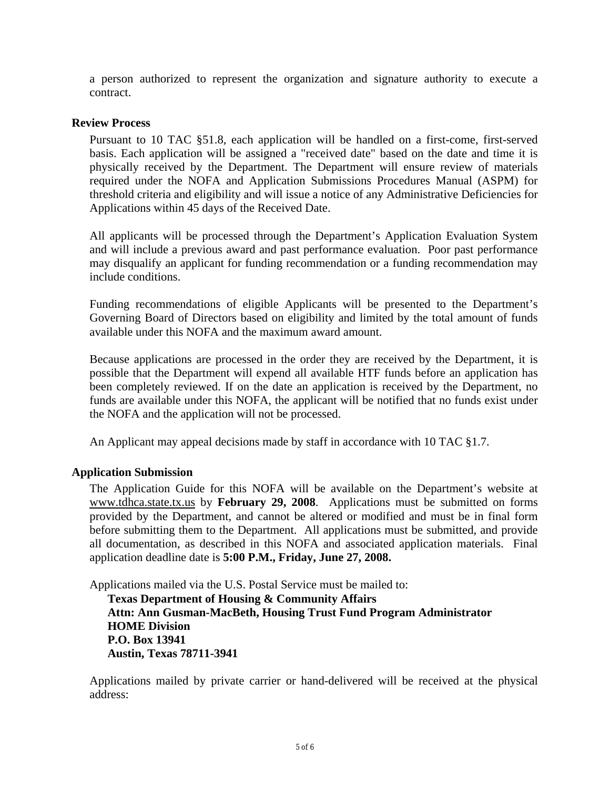a person authorized to represent the organization and signature authority to execute a contract.

# **Review Process**

Pursuant to 10 TAC §51.8, each application will be handled on a first-come, first-served basis. Each application will be assigned a "received date" based on the date and time it is physically received by the Department. The Department will ensure review of materials required under the NOFA and Application Submissions Procedures Manual (ASPM) for threshold criteria and eligibility and will issue a notice of any Administrative Deficiencies for Applications within 45 days of the Received Date.

All applicants will be processed through the Department's Application Evaluation System and will include a previous award and past performance evaluation. Poor past performance may disqualify an applicant for funding recommendation or a funding recommendation may include conditions.

Funding recommendations of eligible Applicants will be presented to the Department's Governing Board of Directors based on eligibility and limited by the total amount of funds available under this NOFA and the maximum award amount.

Because applications are processed in the order they are received by the Department, it is possible that the Department will expend all available HTF funds before an application has been completely reviewed. If on the date an application is received by the Department, no funds are available under this NOFA, the applicant will be notified that no funds exist under the NOFA and the application will not be processed.

An Applicant may appeal decisions made by staff in accordance with 10 TAC §1.7.

# **Application Submission**

The Application Guide for this NOFA will be available on the Department's website at [www.tdhca.state.tx.us](http://www.tdhca.state.tx.us/) by **February 29, 2008**. Applications must be submitted on forms provided by the Department, and cannot be altered or modified and must be in final form before submitting them to the Department. All applications must be submitted, and provide all documentation, as described in this NOFA and associated application materials. Final application deadline date is **5:00 P.M., Friday, June 27, 2008.** 

Applications mailed via the U.S. Postal Service must be mailed to:

**Texas Department of Housing & Community Affairs Attn: Ann Gusman-MacBeth, Housing Trust Fund Program Administrator HOME Division P.O. Box 13941 Austin, Texas 78711-3941** 

Applications mailed by private carrier or hand-delivered will be received at the physical address: